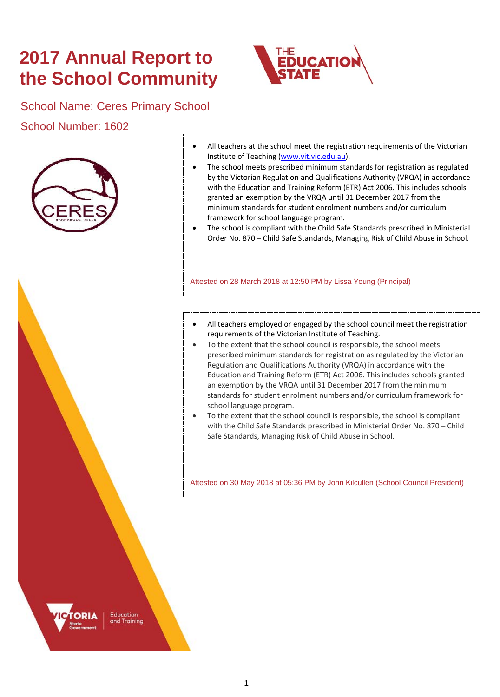# **2017 Annual Report to the School Community**



## School Name: Ceres Primary School

School Number: 1602



- All teachers at the school meet the registration requirements of the Victorian Institute of Teaching [\(www.vit.vic.edu.au\)](https://www.vit.vic.edu.au/).
- The school meets prescribed minimum standards for registration as regulated by the Victorian Regulation and Qualifications Authority (VRQA) in accordance with the Education and Training Reform (ETR) Act 2006. This includes schools granted an exemption by the VRQA until 31 December 2017 from the minimum standards for student enrolment numbers and/or curriculum framework for school language program.
- The school is compliant with the Child Safe Standards prescribed in Ministerial Order No. 870 – Child Safe Standards, Managing Risk of Child Abuse in School.

Attested on 28 March 2018 at 12:50 PM by Lissa Young (Principal)

- All teachers employed or engaged by the school council meet the registration requirements of the Victorian Institute of Teaching.
- To the extent that the school council is responsible, the school meets prescribed minimum standards for registration as regulated by the Victorian Regulation and Qualifications Authority (VRQA) in accordance with the Education and Training Reform (ETR) Act 2006. This includes schools granted an exemption by the VRQA until 31 December 2017 from the minimum standards for student enrolment numbers and/or curriculum framework for school language program.
- To the extent that the school council is responsible, the school is compliant with the Child Safe Standards prescribed in Ministerial Order No. 870 – Child Safe Standards, Managing Risk of Child Abuse in School.

Attested on 30 May 2018 at 05:36 PM by John Kilcullen (School Council President)

Education and Training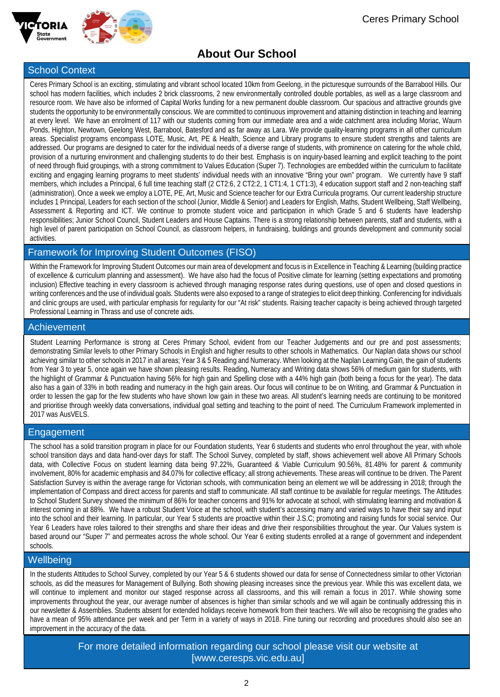



# **About Our School**

### School Context

Ceres Primary School is an exciting, stimulating and vibrant school located 10km from Geelong, in the picturesque surrounds of the Barrabool Hills. Our school has modern facilities, which includes 2 brick classrooms, 2 new environmentally controlled double portables, as well as a large classroom and resource room. We have also be informed of Capital Works funding for a new permanent double classroom. Our spacious and attractive grounds give students the opportunity to be environmentally conscious. We are committed to continuous improvement and attaining distinction in teaching and learning at every level. We have an enrolment of 117 with our students coming from our immediate area and a wide catchment area including Moriac, Waurn Ponds, Highton, Newtown, Geelong West, Barrabool, Batesford and as far away as Lara. We provide quality-learning programs in all other curriculum areas. Specialist programs encompass LOTE, Music, Art, PE & Health, Science and Library programs to ensure student strengths and talents are addressed. Our programs are designed to cater for the individual needs of a diverse range of students, with prominence on catering for the whole child, provision of a nurturing environment and challenging students to do their best. Emphasis is on inquiry-based learning and explicit teaching to the point of need through fluid groupings, with a strong commitment to Values Education (Super 7). Technologies are embedded within the curriculum to facilitate exciting and engaging learning programs to meet students' individual needs with an innovative "Bring your own" program. We currently have 9 staff members, which includes a Principal, 6 full time teaching staff (2 CT2:6, 2 CT2:2, 1 CT1:4, 1 CT1:3), 4 education support staff and 2 non-teaching staff (administration). Once a week we employ a LOTE, PE, Art, Music and Science teacher for our Extra Curricula programs. Our current leadership structure includes 1 Principal, Leaders for each section of the school (Junior, Middle & Senior) and Leaders for English, Maths, Student Wellbeing, Staff Wellbeing, Assessment & Reporting and ICT. We continue to promote student voice and participation in which Grade 5 and 6 students have leadership responsibilities; Junior School Council, Student Leaders and House Captains. There is a strong relationship between parents, staff and students, with a high level of parent participation on School Council, as classroom helpers, in fundraising, buildings and grounds development and community social activities.

### Framework for Improving Student Outcomes (FISO)

Within the Framework for Improving Student Outcomes our main area of development and focus is in Excellence in Teaching & Learning (building practice of excellence & curriculum planning and assessment). We have also had the focus of Positive climate for learning (setting expectations and promoting inclusion) Effective teaching in every classroom is achieved through managing response rates during questions, use of open and closed questions in writing conferences and the use of individual goals. Students were also exposed to a range of strategies to elicit deep thinking. Conferencing for individuals and clinic groups are used, with particular emphasis for regularity for our "At risk" students. Raising teacher capacity is being achieved through targeted Professional Learning in Thrass and use of concrete aids.

### Achievement

Student Learning Performance is strong at Ceres Primary School, evident from our Teacher Judgements and our pre and post assessments; demonstrating Similar levels to other Primary Schools in English and higher results to other schools in Mathematics. Our Naplan data shows our school achieving similar to other schools in 2017 in all areas; Year 3 & 5 Reading and Numeracy. When looking at the Naplan Learning Gain, the gain of students from Year 3 to year 5, once again we have shown pleasing results. Reading, Numeracy and Writing data shows 56% of medium gain for students, with the highlight of Grammar & Punctuation having 56% for high gain and Spelling close with a 44% high gain (both being a focus for the year). The data also has a gain of 33% in both reading and numeracy in the high gain areas. Our focus will continue to be on Writing, and Grammar & Punctuation in order to lessen the gap for the few students who have shown low gain in these two areas. All student's learning needs are continuing to be monitored and prioritise through weekly data conversations, individual goal setting and teaching to the point of need. The Curriculum Framework implemented in 2017 was AusVELS.

### Engagement

The school has a solid transition program in place for our Foundation students, Year 6 students and students who enrol throughout the year, with whole school transition days and data hand-over days for staff. The School Survey, completed by staff, shows achievement well above All Primary Schools data, with Collective Focus on student learning data being 97.22%, Guaranteed & Viable Curriculum 90.56%, 81.48% for parent & community involvement, 80% for academic emphasis and 84.07% for collective efficacy; all strong achievements. These areas will continue to be driven. The Parent Satisfaction Survey is within the average range for Victorian schools, with communication being an element we will be addressing in 2018; through the implementation of Compass and direct access for parents and staff to communicate. All staff continue to be available for regular meetings. The Attitudes to School Student Survey showed the minimum of 86% for teacher concerns and 91% for advocate at school, with stimulating learning and motivation & interest coming in at 88%. We have a robust Student Voice at the school, with student's accessing many and varied ways to have their say and input into the school and their learning. In particular, our Year 5 students are proactive within their J.S.C; promoting and raising funds for social service. Our Year 6 Leaders have roles tailored to their strengths and share their ideas and drive their responsibilities throughout the year. Our Values system is based around our "Super 7" and permeates across the whole school. Our Year 6 exiting students enrolled at a range of government and independent schools.

### Wellbeing

In the students Attitudes to School Survey, completed by our Year 5 & 6 students showed our data for sense of Connectedness similar to other Victorian schools, as did the measures for Management of Bullying. Both showing pleasing increases since the previous year. While this was excellent data, we will continue to implement and monitor our staged response across all classrooms, and this will remain a focus in 2017. While showing some improvements throughout the year, our average number of absences is higher than similar schools and we will again be continually addressing this in our newsletter & Assemblies. Students absent for extended holidays receive homework from their teachers. We will also be recognising the grades who have a mean of 95% attendance per week and per Term in a variety of ways in 2018. Fine tuning our recording and procedures should also see an improvement in the accuracy of the data.

> For more detailed information regarding our school please visit our website at [www.ceresps.vic.edu.au]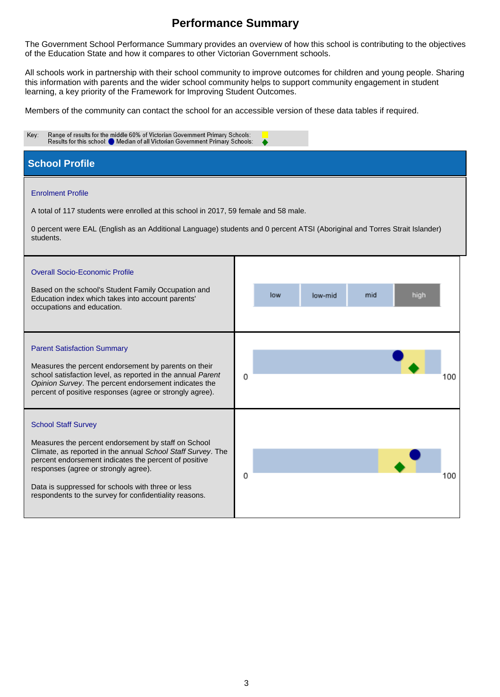The Government School Performance Summary provides an overview of how this school is contributing to the objectives of the Education State and how it compares to other Victorian Government schools.

All schools work in partnership with their school community to improve outcomes for children and young people. Sharing this information with parents and the wider school community helps to support community engagement in student learning, a key priority of the Framework for Improving Student Outcomes.

Members of the community can contact the school for an accessible version of these data tables if required.

| Key:<br>Range of results for the middle 60% of Victorian Government Primary Schools:<br>Results for this school: O Median of all Victorian Government Primary Schools:                                                                                                                                                                                           |   |     |         |     |      |     |
|------------------------------------------------------------------------------------------------------------------------------------------------------------------------------------------------------------------------------------------------------------------------------------------------------------------------------------------------------------------|---|-----|---------|-----|------|-----|
| <b>School Profile</b>                                                                                                                                                                                                                                                                                                                                            |   |     |         |     |      |     |
| <b>Enrolment Profile</b><br>A total of 117 students were enrolled at this school in 2017, 59 female and 58 male.<br>0 percent were EAL (English as an Additional Language) students and 0 percent ATSI (Aboriginal and Torres Strait Islander)<br>students.                                                                                                      |   |     |         |     |      |     |
| <b>Overall Socio-Economic Profile</b><br>Based on the school's Student Family Occupation and<br>Education index which takes into account parents'<br>occupations and education.                                                                                                                                                                                  |   | low | low-mid | mid | high |     |
| <b>Parent Satisfaction Summary</b><br>Measures the percent endorsement by parents on their<br>school satisfaction level, as reported in the annual Parent<br>Opinion Survey. The percent endorsement indicates the<br>percent of positive responses (agree or strongly agree).                                                                                   | 0 |     |         |     |      | 100 |
| <b>School Staff Survey</b><br>Measures the percent endorsement by staff on School<br>Climate, as reported in the annual School Staff Survey. The<br>percent endorsement indicates the percent of positive<br>responses (agree or strongly agree).<br>Data is suppressed for schools with three or less<br>respondents to the survey for confidentiality reasons. | 0 |     |         |     |      | 100 |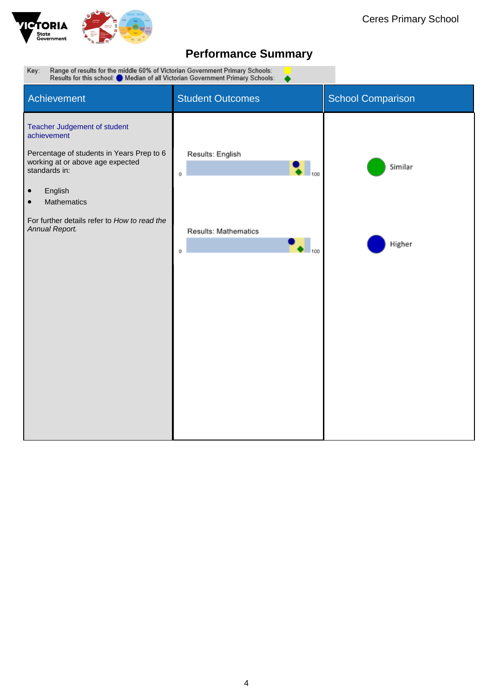

Range of results for the middle 60% of Victorian Government Primary Schools:<br>Results for this school: O Median of all Victorian Government Primary Schools: Key: Student Outcomes Student Outcomes **Achievement** Teacher Judgement of student achievement Percentage of students in Years Prep to 6 Results: English working at or above age expected Similar standards in:  $\mathbf 0$ • English • Mathematics For further details refer to *How to read the Annual Report.* Results: Mathematics  $\bullet$   $_{100}$ Higher  $\mathbf 0$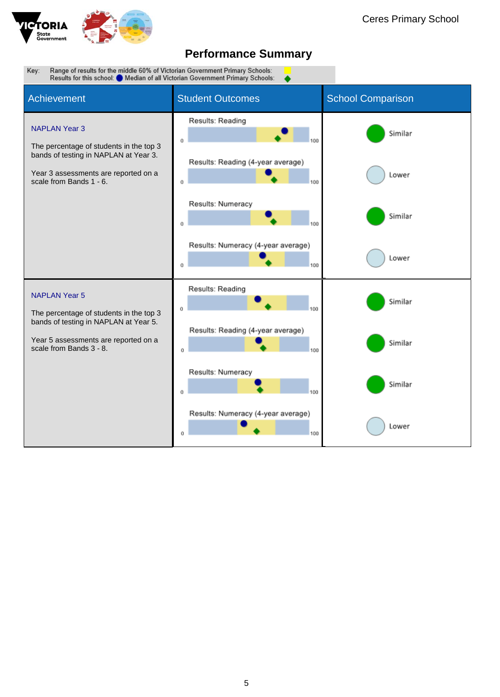

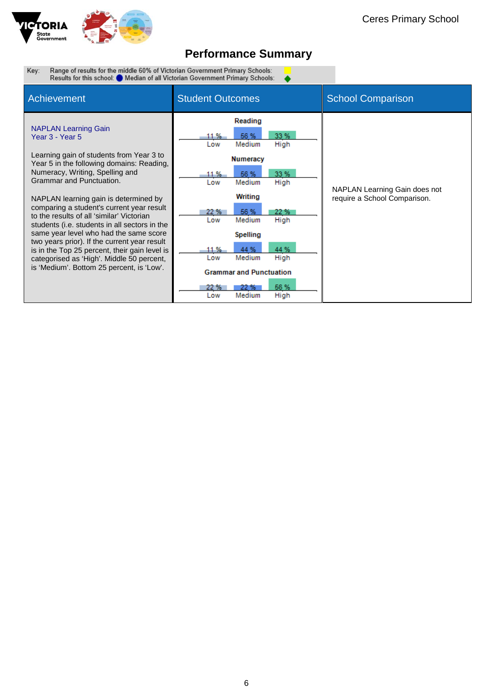

 $\bullet$ 

Range of results for the middle 60% of Victorian Government Primary Schools:<br>Results for this school: O Median of all Victorian Government Primary Schools: Key:

| <b>Achievement</b>                                                                                                                                                                                                                                                                                                                                                                                                                                                                                                                                                                 | <b>Student Outcomes</b>                                                                                                                                                                                                                                      | <b>School Comparison</b>                                      |
|------------------------------------------------------------------------------------------------------------------------------------------------------------------------------------------------------------------------------------------------------------------------------------------------------------------------------------------------------------------------------------------------------------------------------------------------------------------------------------------------------------------------------------------------------------------------------------|--------------------------------------------------------------------------------------------------------------------------------------------------------------------------------------------------------------------------------------------------------------|---------------------------------------------------------------|
| <b>NAPLAN Learning Gain</b><br>Year 3 - Year 5<br>Learning gain of students from Year 3 to<br>Year 5 in the following domains: Reading,<br>Numeracy, Writing, Spelling and<br>Grammar and Punctuation.<br>NAPLAN learning gain is determined by<br>comparing a student's current year result<br>to the results of all 'similar' Victorian<br>students (i.e. students in all sectors in the<br>same year level who had the same score<br>two years prior). If the current year result<br>is in the Top 25 percent, their gain level is<br>categorised as 'High'. Middle 50 percent, | Reading<br>33 %<br>56 %<br>11 %<br>Medium<br>High<br>Low<br><b>Numeracy</b><br>33 %<br>56 %<br>11 %<br>Medium<br>High<br>Low<br>Writing<br>56 %<br>22 %<br>22 %<br>Medium<br>High<br>Low<br><b>Spelling</b><br>44 %<br>44 %<br>11 %<br>Medium<br>High<br>Low | NAPLAN Learning Gain does not<br>require a School Comparison. |
| is 'Medium'. Bottom 25 percent, is 'Low'.                                                                                                                                                                                                                                                                                                                                                                                                                                                                                                                                          | <b>Grammar and Punctuation</b>                                                                                                                                                                                                                               |                                                               |
|                                                                                                                                                                                                                                                                                                                                                                                                                                                                                                                                                                                    | 56 %<br>22 %<br>22%<br>High<br>Medium<br>Low                                                                                                                                                                                                                 |                                                               |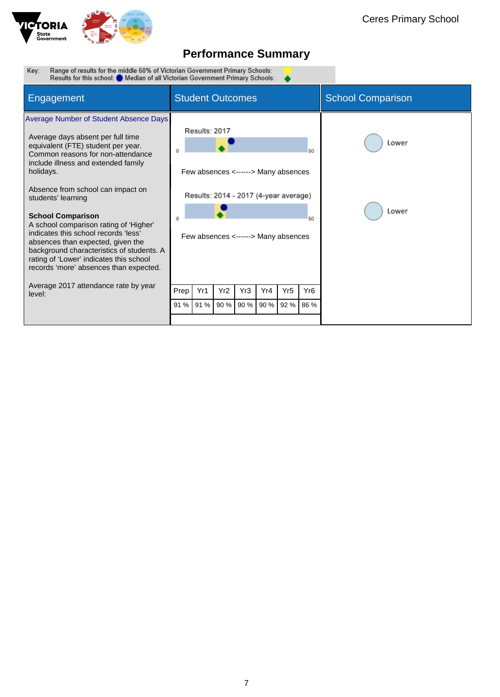

Range of results for the middle 60% of Victorian Government Primary Schools:<br>Results for this school: O Median of all Victorian Government Primary Schools: Key:  $\bullet$ 

| Engagement                                                                                                                                                                                                                                                                                                                                                                                                                                                                                                                                                        | <b>Student Outcomes</b>                                                                                                                          | <b>School Comparison</b> |
|-------------------------------------------------------------------------------------------------------------------------------------------------------------------------------------------------------------------------------------------------------------------------------------------------------------------------------------------------------------------------------------------------------------------------------------------------------------------------------------------------------------------------------------------------------------------|--------------------------------------------------------------------------------------------------------------------------------------------------|--------------------------|
| <b>Average Number of Student Absence Days</b><br>Average days absent per full time<br>equivalent (FTE) student per year.<br>Common reasons for non-attendance<br>include illness and extended family<br>holidays.<br>Absence from school can impact on<br>students' learning<br><b>School Comparison</b><br>A school comparison rating of 'Higher'<br>indicates this school records 'less'<br>absences than expected, given the<br>background characteristics of students. A<br>rating of 'Lower' indicates this school<br>records 'more' absences than expected. | Results: 2017<br>50<br>Few absences <------> Many absences<br>Results: 2014 - 2017 (4-year average)<br>60<br>Few absences <------> Many absences | Lower<br>Lower           |
| Average 2017 attendance rate by year<br>level:                                                                                                                                                                                                                                                                                                                                                                                                                                                                                                                    | Yr1<br>Yr <sub>2</sub><br>Yr3<br>Yr <sub>5</sub><br>Yr <sub>6</sub><br>Prep<br>Yr4                                                               |                          |
|                                                                                                                                                                                                                                                                                                                                                                                                                                                                                                                                                                   | 90 %<br>90 %<br>90 %<br>91 %<br>92 %<br>86 %<br>91 %                                                                                             |                          |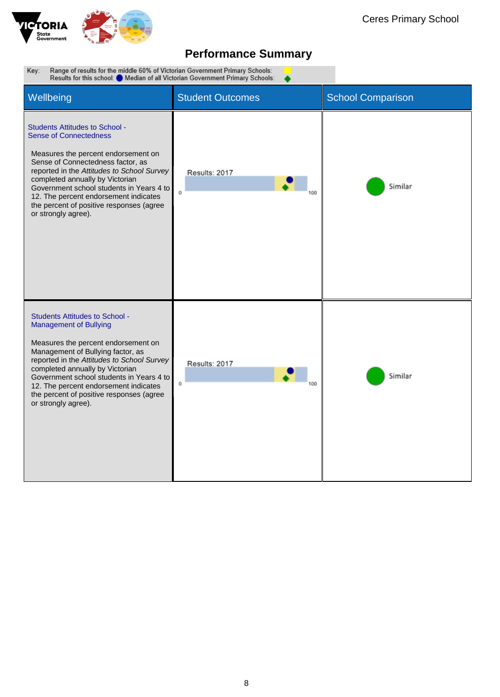

▲

Range of results for the middle 60% of Victorian Government Primary Schools:<br>Results for this school: O Median of all Victorian Government Primary Schools: Key:

| Wellbeing                                                                                                                                                                                                                                                                                                                                                                                   | <b>Student Outcomes</b> | <b>School Comparison</b> |
|---------------------------------------------------------------------------------------------------------------------------------------------------------------------------------------------------------------------------------------------------------------------------------------------------------------------------------------------------------------------------------------------|-------------------------|--------------------------|
| <b>Students Attitudes to School -</b><br><b>Sense of Connectedness</b><br>Measures the percent endorsement on<br>Sense of Connectedness factor, as<br>reported in the Attitudes to School Survey<br>completed annually by Victorian<br>Government school students in Years 4 to<br>12. The percent endorsement indicates<br>the percent of positive responses (agree<br>or strongly agree). | Results: 2017<br>Ō.     | Similar                  |
| <b>Students Attitudes to School -</b><br><b>Management of Bullying</b><br>Measures the percent endorsement on<br>Management of Bullying factor, as<br>reported in the Attitudes to School Survey<br>completed annually by Victorian<br>Government school students in Years 4 to<br>12. The percent endorsement indicates<br>the percent of positive responses (agree<br>or strongly agree). | Results: 2017<br>Ü      | Similar                  |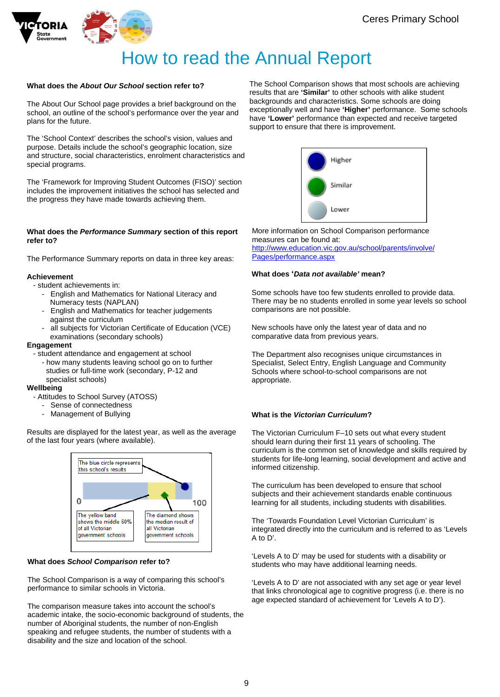



# How to read the Annual Report

#### **What does the** *About Our School* **section refer to?**

The About Our School page provides a brief background on the school, an outline of the school's performance over the year and plans for the future.

The 'School Context' describes the school's vision, values and purpose. Details include the school's geographic location, size and structure, social characteristics, enrolment characteristics and special programs.

The 'Framework for Improving Student Outcomes (FISO)' section includes the improvement initiatives the school has selected and the progress they have made towards achieving them.

#### **What does the** *Performance Summary* **section of this report refer to?**

The Performance Summary reports on data in three key areas:

#### **Achievement**

- student achievements in:
	- English and Mathematics for National Literacy and Numeracy tests (NAPLAN)
	- English and Mathematics for teacher judgements against the curriculum
	- all subjects for Victorian Certificate of Education (VCE) examinations (secondary schools)

#### **Engagement**

- student attendance and engagement at school
	- how many students leaving school go on to further studies or full-time work (secondary, P-12 and specialist schools)

#### **Wellbeing**

- Attitudes to School Survey (ATOSS)
	- Sense of connectedness
	- Management of Bullying

Results are displayed for the latest year, as well as the average of the last four years (where available).



#### **What does** *School Comparison* **refer to?**

The School Comparison is a way of comparing this school's performance to similar schools in Victoria.

The comparison measure takes into account the school's academic intake, the socio-economic background of students, the number of Aboriginal students, the number of non-English speaking and refugee students, the number of students with a disability and the size and location of the school.

The School Comparison shows that most schools are achieving results that are **'Similar'** to other schools with alike student backgrounds and characteristics. Some schools are doing exceptionally well and have **'Higher'** performance. Some schools have **'Lower'** performance than expected and receive targeted support to ensure that there is improvement.



More information on School Comparison performance measures can be found at: [http://www.education.vic.gov.au/school/parents/involve/](http://www.education.vic.gov.au/school/parents/involve/Pages/performance.aspx) [Pages/performance.aspx](http://www.education.vic.gov.au/school/parents/involve/Pages/performance.aspx)

#### **What does '***Data not available'* **mean?**

Some schools have too few students enrolled to provide data. There may be no students enrolled in some year levels so school comparisons are not possible.

New schools have only the latest year of data and no comparative data from previous years.

The Department also recognises unique circumstances in Specialist, Select Entry, English Language and Community Schools where school-to-school comparisons are not appropriate.

#### **What is the** *Victorian Curriculum***?**

The Victorian Curriculum F–10 sets out what every student should learn during their first 11 years of schooling. The curriculum is the common set of knowledge and skills required by students for life-long learning, social development and active and informed citizenship.

The curriculum has been developed to ensure that school subjects and their achievement standards enable continuous learning for all students, including students with disabilities.

The 'Towards Foundation Level Victorian Curriculum' is integrated directly into the curriculum and is referred to as 'Levels A to D'.

'Levels A to D' may be used for students with a disability or students who may have additional learning needs.

'Levels A to D' are not associated with any set age or year level that links chronological age to cognitive progress (i.e. there is no age expected standard of achievement for 'Levels A to D').